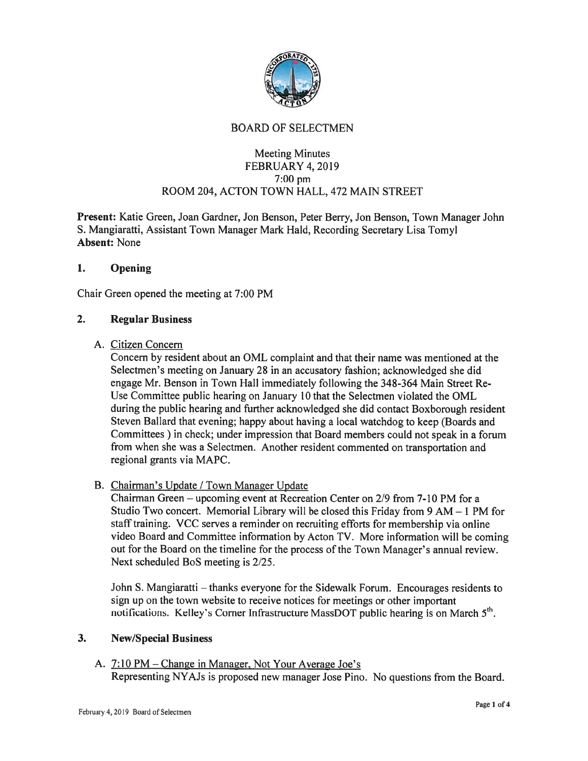

# BOARD OF SELECTMEN

# Meeting Minutes FEBRUARY 4, 2019 7:00 pm ROOM 204, ACTON TOWN HALL, 472 MAIN STREET

Present: Katie Green, Joan Gardner, Jon Benson, Peter Berry, Jon Benson, Town Manager John S. Mangiaratti, Assistant Town Manager Mark Raid, Recording Secretary Lisa Tomyl Absent: None

# 1. Opening

Chair Green opened the meeting at 7:00 PM

#### 2. Regular Business

#### A. Citizen Concern

Concern by resident about an OML complaint and that their name was mentioned at the Selectmen's meeting on January 28 in an accusatory fashion; acknowiedged she did engage Mr. Benson in Town Hall immediately following the 348-364 Main Street Re Use Committee public hearing on January 10 that the Selectmen violated the OML during the public hearing and further acknowledged she did contact Boxborough resident Steven Ballard that evening; happy about having <sup>a</sup> local watchdog to keep (Boards and Committees) in check; under impression that Board members could not speak in <sup>a</sup> forum from when she was <sup>a</sup> Selectmen. Another resident commented on transportation and regional grants via MAPC.

# B. Chairman's Update / Town Manager Update

Chairman Green — upcoming event at Recreation Center on 2/9 from 7-10 PM for <sup>a</sup> Studio Two concert. Memorial Library will be closed this Friday from 9 AM — 1 PM for staff training. VCC serves a reminder on recruiting efforts for membership via online video Board and Committee information by Acton TV. More information will be coming out for the Board on the timeline for the process of the Town Manager's annual review. Next scheduled BoS meeting is 2/25.

John S. Mangiaratti — thanks everyone for the Sidewalk Forum. Encourages residents to sign up on the town website to receive notices for meetings or other important notifications. Kelley's Corner Infrastructure MassDOT public hearing is on March  $5<sup>th</sup>$ .

#### 3. New/Special Business

A. 7:10 PM – Change in Manager, Not Your Average Joe's Representing NYAJs is proposed new manager Jose Pino. No questions from the Board.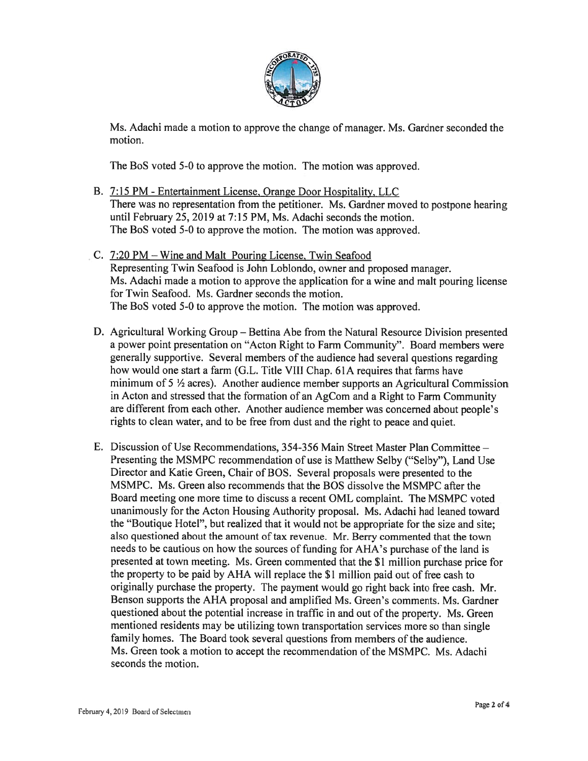

Ms. Adachi made <sup>a</sup> motion to approve the change of manager. Ms. Gardner seconded the motion.

The BoS voted 5-0 to approve the motion. The motion was approved.

- B. 7:15 PM Entertainment License. Orange Door Hospitality, LLC There was no representation from the petitioner. Ms. Gardner moved to postpone hearing until February 25, 2019 at 7:15 PM, Ms. Adachi seconds the motion. The BoS voted 5-0 to approve the motion. The motion was approved.
- C. 7:20 PM Wine and Malt Pouring License, Twin Seafood Representing Twin Seafood is John Loblondo, owner and proposed manager. Ms. Adachi made <sup>a</sup> motion to approve the application for <sup>a</sup> wine and malt pouring license for Twin Seafood. Ms. Gardner seconds the motion. The BoS voted 5-0 to approve the motion. The motion was approved.
- D. Agricultural Working Group Bettina Abe from the Natural Resource Division presented <sup>a</sup> power point presentation on "Acton Right to Farm Community". Board members were generally supportive. Several members of the audience had several questions regarding how would one start <sup>a</sup> farm (G.L. Title VIII Chap. 61A requires that farms have minimum of  $5\frac{1}{2}$  acres). Another audience member supports an Agricultural Commission in Acton and stressed that the formation of an AgCom and <sup>a</sup> Right to Farm Community are different from each other. Another audience member was concerned about people's rights to clean water, and to be free from dust and the right to peace and quiet.
- E. Discussion of Use Recommendations, 354-356 Main Street Master Plan Committee Presenting the MSMPC recommendation of use is Matthew Selby ("Selby"), Land Use Director and Katie Green, Chair of BOS. Several proposals were presented to the MSMPC. Ms. Green also recommends that the BOS dissolve the MSMPC after the Board meeting one more time to discuss <sup>a</sup> recent OML complaint. The MSMPC voted unanimously for the Acton Housing Authority proposal. Ms. Adachi had leaned toward the "Boutique Hotel", but realized that it would not be appropriate for the size and site; also questioned about the amount of tax revenue. Mr. Berry commented that the town needs to be cautious on how the sources of funding for AHA's purchase of the land is presented at town meeting. Ms. Green commented that the \$1 million purchase price for the property to be paid by AHA will replace the \$1 million paid out of free cash to originally purchase the property. The paymen<sup>t</sup> would go right back into free cash. Mr. Benson supports the AHA proposal and amplified Ms. Green's comments. Ms. Gardner questioned about the potential increase in traffic in and out of the property. Ms. Green mentioned residents may be utilizing town transportation services more so than single family homes. The Board took several questions from members of the audience. Ms. Green took a motion to accept the recommendation of the MSMPC. Ms. Adachi seconds the motion.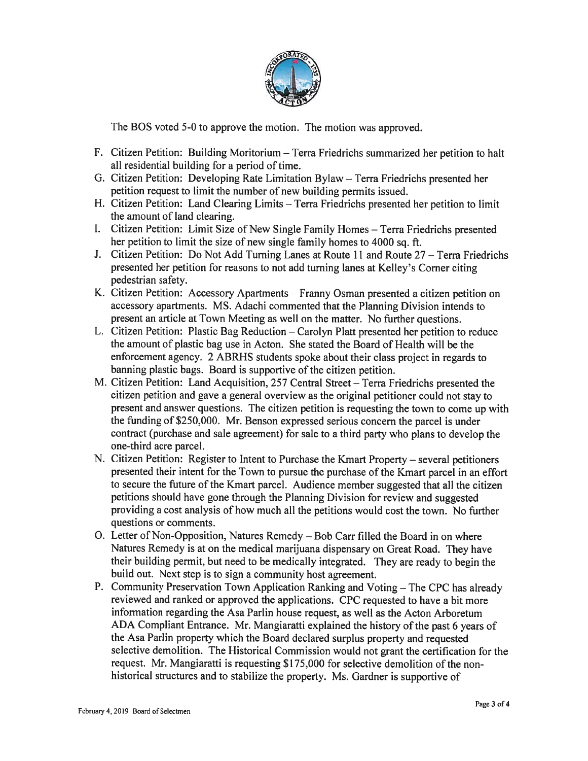

The BOS voted 5-0 to approve the motion. The motion was approved.

- F. Citizen Petition: Building Moritorium Terra Friedrichs summarized her petition to halt all residential building for <sup>a</sup> period of time.
- G. Citizen Petition: Developing Rate Limitation Bylaw Terra Friedrichs presented her petition reques<sup>t</sup> to limit the number of new building permits issued.
- H. Citizen Petition: Land Clearing Limits Terra friedrichs presented her petition to limit the amount of land clearing.
- I. Citizen Petition: Limit Size of New Single family Homes Terra friedrichs presented her petition to limit the size of new single family homes to <sup>4000</sup> sq. ft.
- J. Citizen Petition: Do Not Add Turning Lanes at Route 11 and Route 27 Terra friedrichs presented her petition for reasons to not add turning lanes at Kelley's Corner citing pedestrian safety.
- K. Citizen Petition: Accessory Apartments Franny Osman presented <sup>a</sup> citizen petition on accessory apartments. MS. Adachi commented that the Planning Division intends to presen<sup>t</sup> an article at Town Meeting as well on the matter. No further questions.
- L. Citizen Petition: Plastic Bag Reduction Carolyn Platt presented her petition to reduce the amount of plastic bag use in Acton. She stated the Board of Health will be the enforcement agency. <sup>2</sup> ABRHS students spoke about their class project in regards to banning <sup>p</sup>lastic bags. Board is supportive of the citizen petition.
- M. Citizen Petition: Land Acquisition, 257 Central Street Terra Friedrichs presented the citizen petition and gave <sup>a</sup> genera<sup>l</sup> overview as the original petitioner could not stay to presen<sup>t</sup> and answer questions. The citizen petition is requesting the town to come up with the funding of \$250,000. Mr. Benson expresse<sup>d</sup> serious concern the parce<sup>l</sup> is under contract (purchase and sale agreement) for sale to <sup>a</sup> third party who <sup>p</sup>lans to develop the one-third acre parcel.
- N. Citizen Petition: Register to Intent to Purchase the Kmart Property several petitioners presented their intent for the Town to pursue the purchase ofthe Kmart parce<sup>l</sup> in an effort to secure the future of the Kmart parcel. Audience member suggested that all the citizen petitions should have gone through the Planning Division for review and suggested providing <sup>a</sup> cost analysis of how much all the petitions would cost the town. No further questions or comments.
- 0. Letter of Non-Opposition, Natures Remedy Bob Carr filled the Board in on where Natures Remedy is at on the medical marijuana dispensary on Great Road. They have their building permit, but need to be medically integrated. They are ready to begin the build out. Next step is to sign <sup>a</sup> community host agreement.
- P. Community Preservation Town Application Ranking and Voting The CPC has already reviewed and ranked or approved the applications. CPC requested to have <sup>a</sup> bit more information regarding the Asa Parlin house request, as well as the Acton Arboretum ADA Compliant Entrance. Mr. Mangiaratti explained the history of the pas<sup>t</sup> <sup>6</sup> years of the Asa Parlin property which the Board declared surplus property and requested selective demolition. The Historical Commission would not gran<sup>t</sup> the certification for the request. Mr. Mangiaratti is requesting \$175,000 for selective demolition of the nonhistorical structures and to stabilize the property. Ms. Gardner is supportive of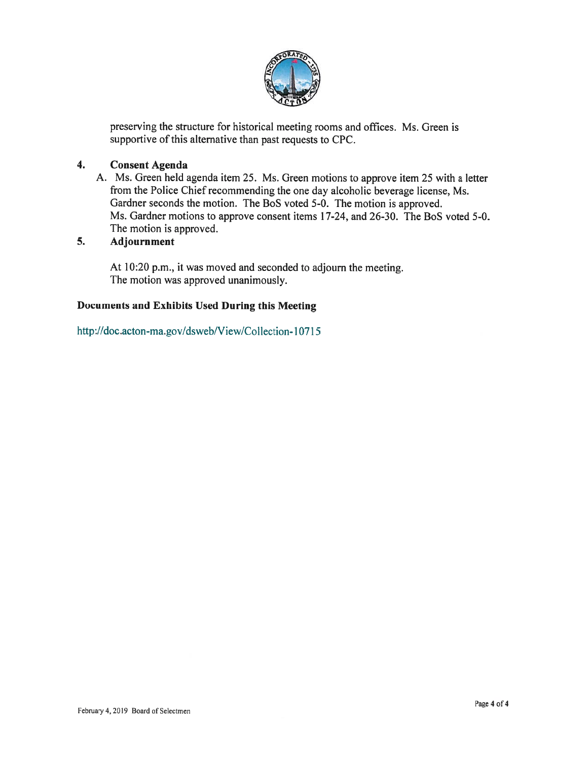

preserving the structure for historical meeting rooms and offices. Ms. Green is supportive of this alternative than past requests to CPC.

# 4. Consent Agenda

A. Ms. Green held agenda item 25. Ms. Green motions to approve item 25 with <sup>a</sup> letter from the Police Chief recommending the one day alcoholic beverage license, Ms. Gardner seconds the motion. The BoS voted 5-0. The motion is approved. Ms. Gardner motions to approve consent items 17-24, and 26-30. The BoS voted 5-0. The motion is approved.

# 5. Adjournment

At 10:20 p.m., it was moved and seconded to adjourn the meeting. The motion was approved unanimously.

# Documents and Exhibits Used During this Meeting

http://doc.acton-ma.gov/dsweb/View/Collection-10715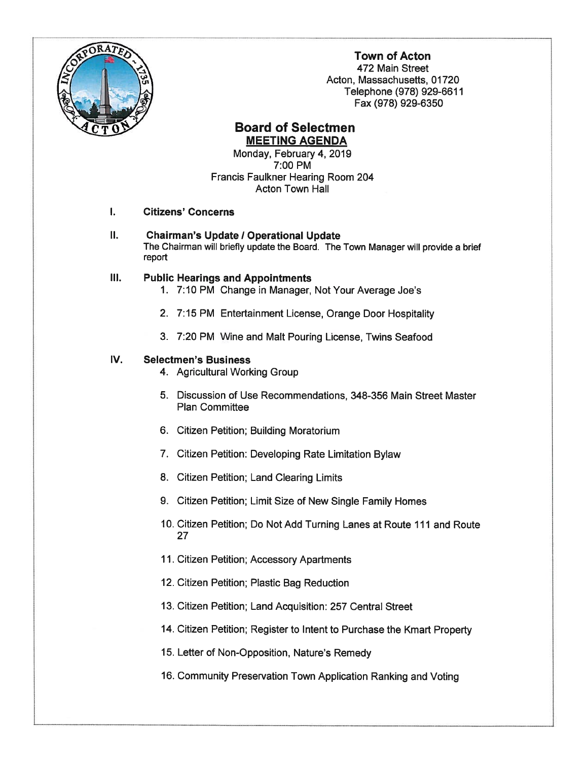

# Town of Acton

472 Main Street Acton, Massachusetts, 01720 Telephone (978) 929-6611 Fax (978) 929-6350

# **Board of Selectmen** MEETING AGENDA

Monday, February 4, 2019 7:00 PM Francis Faulkner Hearing Room 204 Acton Town Hall

#### Citizens' Concerns  $\mathbf{I}$ .

II. **Chairman's Update / Operational Update** The Chairman will briefly update the Board. The Town Manager will provide <sup>a</sup> brief report

# III. Public Hearings and Appointments

- 1. 7:10 PM Change in Manager, Not Your Average Joe's
- 2. 7:15 PM Entertainment License, Orange Door Hospitality
- 3. 7:20 PM Wine and Malt Pouring License, Twins Seafood

#### IV. Selectmen's Business

- 4. Agricultural Working Group
- 5. Discussion of Use Recommendations, 348-356 Main Street Master Plan Committee
- 6. Citizen Petition; Building Moratorium
- 7. Citizen Petition: Developing Rate Limitation Bylaw
- 8. Citizen Petition; Land Clearing Limits
- 9. Citizen Petition; Limit Size of New Single Family Homes
- 10. Citizen Petition; Do Not Add Turning Lanes at Route 111 and Route 27
- 11. Citizen Petition; Accessory Apartments
- 12. Citizen Petition; Plastic Bag Reduction
- 13. Citizen Petition; Land Acquisition: 257 Central Street
- 14. Citizen Petition; Register to Intent to Purchase the Kmart Property
- 15. Letter of Non-Opposition, Nature's Remedy
- 16. Community Preservation Town Application Ranking and Voting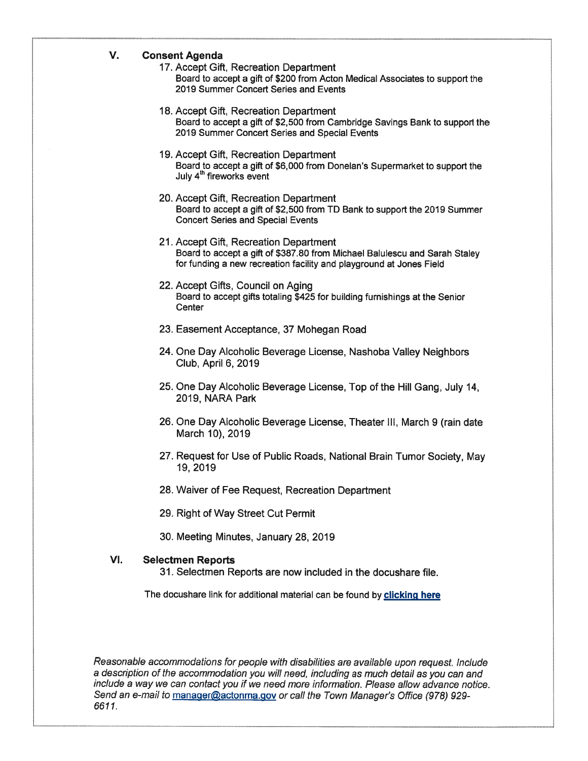#### V. Consent Agenda

- 17. Accept Gift, Recreation Department Board to accep<sup>t</sup> <sup>a</sup> gift of \$200 from Acton Medical Associates to suppor<sup>t</sup> the 2019 Summer Concert Series and Events
- 18. Accept Gift, Recreation Department Board to accep<sup>t</sup> <sup>a</sup> gift of \$2,500 from Cambridge Savings Bank to suppor<sup>t</sup> the 2019 Summer Concert Series and Special Events
- 19. Accept Gift, Recreation Department Board to accep<sup>t</sup> <sup>a</sup> gift of \$6,000 from Donelan's Supermarket to suppor<sup>t</sup> the July 4<sup>th</sup> fireworks event
- 20. Accept Gift, Recreation Department Board to accep<sup>t</sup> <sup>a</sup> gift of \$2,500 from TD Bank to suppor<sup>t</sup> the 2019 Summer Concert Series and Special Events
- 21. Accept Gift, Recreation Department Board to accep<sup>t</sup> <sup>a</sup> gift of \$387.80 from Michael Balulescu and Sarah Staley for funding <sup>a</sup> new recreation facility and playground at Jones Field
- 22. Accept Gifts, Council on Aging Board to accep<sup>t</sup> gifts totaling \$425 for building furnishings at the Senior **Center**
- 23. Easement Acceptance, 37 Mohegan Road
- 24. One Day Alcoholic Beverage License, Nashoba Valley Neighbors Club, April 6, 2019
- 25. One Day Alcoholic Beverage License, Top of the Hill Gang, July 14, 2019, NARA Park
- 26. One Day Alcoholic Beverage License, Theater III, March 9 (rain date March 10), 2019
- 27. Request for Use of Public Roads, National Brain Tumor Society, May 19, 2019
- 28. Waiver of Fee Request, Recreation Department
- 29. Right of Way Street Cut Permit
- 30. Meeting Minutes, January 28, 2019

#### VI. Selectmen Reports

31. Selectmen Reports are now included in the docushare file.

The docushare link for additional material can be found by clicking here

Reasonable accommodations for people with disabilities are available upon request. Include <sup>a</sup> description of the accommodation you will need, including as much detail as you can and include <sup>a</sup> way we can contact you if we need more information. Please allow advance notice. Send an e-mail to manager@actonma.gov or call the Town Manager's Office (978) 929-6611.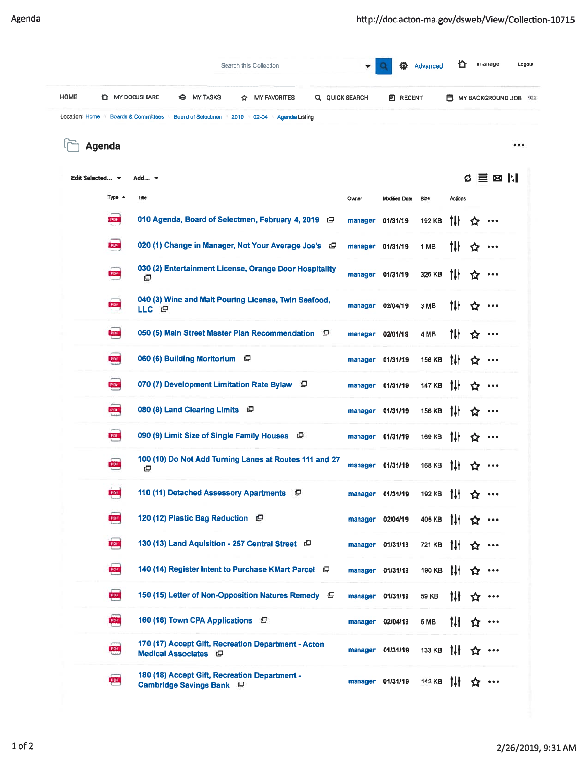|             |                                    |                          |                                                                                  |      | Search this Collection |                |                |                      | <b>卷</b> Advanced | O       |     | manager                                                        | Logout |
|-------------|------------------------------------|--------------------------|----------------------------------------------------------------------------------|------|------------------------|----------------|----------------|----------------------|-------------------|---------|-----|----------------------------------------------------------------|--------|
| <b>HOME</b> | <b>LE</b> MY DOCUSHARE             |                          | <b>MY TASKS</b><br>8                                                             | ✿    | <b>MY FAVORITES</b>    |                | Q QUICK SEARCH | <b>E RECENT</b>      |                   |         |     | MY BACKGROUND JOB 922                                          |        |
|             | Location: Home Boards & Committees |                          | <b>Board of Selectmen</b>                                                        | 2019 | 02-04                  | Agenda Listing |                |                      |                   |         |     |                                                                |        |
|             | <b>Agenda</b>                      |                          |                                                                                  |      |                        |                |                |                      |                   |         |     |                                                                |        |
|             | Edit Selected v                    | Add $\blacktriangledown$ |                                                                                  |      |                        |                |                |                      |                   |         | Ø.  | 目図  :                                                          |        |
|             | $Type -$                           | Title                    |                                                                                  |      |                        |                | Owner          | <b>Modified Date</b> | Size              | Actions |     |                                                                |        |
|             | PDF                                |                          | 010 Agenda, Board of Selectmen, February 4, 2019 日                               |      |                        |                | manager        | 01/31/19             | 192 KB            | 1H      | Y.  |                                                                |        |
|             | <b>CESS</b>                        |                          | 020 (1) Change in Manager, Not Your Average Joe's $\Box$                         |      |                        |                |                | manager 01/31/19     | 1 MB              | tlł     | 17  | $\bullet\bullet\bullet$                                        |        |
|             | PDF                                | Φ                        | 030 (2) Entertainment License, Orange Door Hospitality                           |      |                        |                |                | manager 01/31/19     | 326 KB            | 1H      | ☎   | $\bullet\bullet\bullet$                                        |        |
|             | PDF                                | LLC ©                    | 040 (3) Wine and Malt Pouring License, Twin Seafood,                             |      |                        |                |                | manager 02/04/19     | 3 MB              | tH      | 12  |                                                                |        |
|             | <b>PDF</b>                         |                          | 050 (5) Main Street Master Plan Recommendation $\Box$                            |      |                        |                |                | manager 02/01/19     | 4 MB              | tH      | ✿   |                                                                |        |
|             | PDF                                |                          | 060 (6) Building Moritorium $\Box$                                               |      |                        |                |                | manager 01/31/19     | 156 KB            | 1H      | ✿   | $\bullet\bullet\bullet$                                        |        |
|             | <b>QUEE</b>                        |                          | 070 (7) Development Limitation Rate Bylaw $\Box$                                 |      |                        |                |                | manager 01/31/19     | 147 KB            | 1Ił     | ☎   | $\begin{array}{ccc} \bullet & \bullet & \bullet \end{array}$   |        |
|             | <b>POLI</b>                        |                          | 080 (8) Land Clearing Limits $\Box$                                              |      |                        |                |                | manager 01/31/19     | 156 KB            | 1H      | ✿   | $\bullet\bullet\bullet$                                        |        |
|             | <b>PBI</b>                         |                          | 090 (9) Limit Size of Single Family Houses $\Box$                                |      |                        |                |                | manager 01/31/19     | 169 KB            | tlł     | ✿   | $\begin{array}{ccc} \bullet & \bullet & \bullet \end{array}$   |        |
|             | <b>COLLEGE</b>                     | ₫                        | 100 (10) Do Not Add Turning Lanes at Routes 111 and 27                           |      |                        |                |                | manager 01/31/19     | <b>168 KB</b>     | 1łł     |     |                                                                |        |
|             | PDF                                |                          | 110 (11) Detached Assessory Apartments $\Box$                                    |      |                        |                |                | manager 01/31/19     | 192 KB            | -till   | ✿   | $\bullet\bullet\bullet$                                        |        |
|             | <b>POUL</b>                        |                          | 120 (12) Plastic Bag Reduction $\Box$                                            |      |                        |                |                | manager 02/04/19     | 405 KB 1H ☆       |         |     | $\bullet\bullet\bullet$                                        |        |
|             | ens                                |                          | 130 (13) Land Aquisition - 257 Central Street $\Box$                             |      |                        |                |                | manager 01/31/19     | 721 KB            | -tif    | YZ. | $\bullet\bullet\bullet$                                        |        |
|             | PDF                                |                          | 140 (14) Register Intent to Purchase KMart Parcel $\Box$                         |      |                        |                |                | manager 01/31/19     | 190 KB            | 1H      | Y.  | $\bullet\bullet\bullet$                                        |        |
|             | PDF                                |                          | 150 (15) Letter of Non-Opposition Natures Remedy $\Box$                          |      |                        |                |                | manager 01/31/19     | 59 KB             | 1H      | 17  | $\begin{array}{ccccc} \bullet & \bullet & \bullet \end{array}$ |        |
|             | PDL                                |                          | 160 (16) Town CPA Applications $\Box$                                            |      |                        |                |                | manager 02/04/19     | 5 MB              | tIł.    | YZ. | $\begin{array}{ccc} \bullet & \bullet & \bullet \end{array}$   |        |
|             | <b>POL</b>                         |                          | 170 (17) Accept Gift, Recreation Department - Acton<br>Medical Associates $\Box$ |      |                        |                |                | manager 01/31/19     | 133 KB            | 1II     | ٢Z  | $\begin{array}{ccccc} \bullet & \bullet & \bullet \end{array}$ |        |
|             | PDF                                |                          | 180 (18) Accept Gift, Recreation Department -<br>Cambridge Savings Bank $\Box$   |      |                        |                |                | manager 01/31/19     | 142 KB            | 1H      | ኚ7  | $\bullet\bullet\bullet$                                        |        |